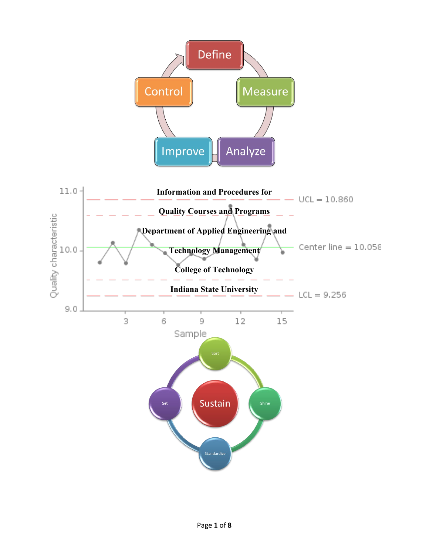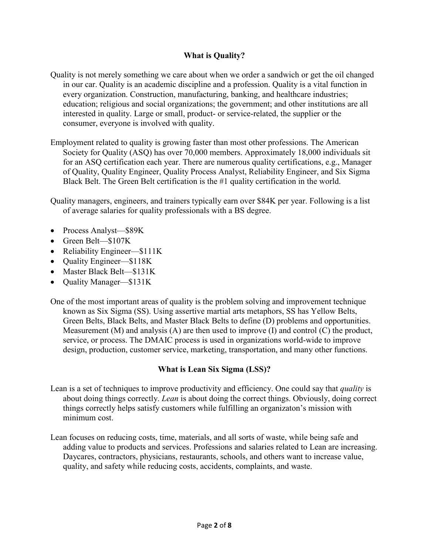# **What is Quality?**

- Quality is not merely something we care about when we order a sandwich or get the oil changed in our car. Quality is an academic discipline and a profession. Quality is a vital function in every organization. Construction, manufacturing, banking, and healthcare industries; education; religious and social organizations; the government; and other institutions are all interested in quality. Large or small, product- or service-related, the supplier or the consumer, everyone is involved with quality.
- Employment related to quality is growing faster than most other professions. The American Society for Quality (ASQ) has over 70,000 members. Approximately 18,000 individuals sit for an ASQ certification each year. There are numerous quality certifications, e.g., Manager of Quality, Quality Engineer, Quality Process Analyst, Reliability Engineer, and Six Sigma Black Belt. The Green Belt certification is the #1 quality certification in the world.

Quality managers, engineers, and trainers typically earn over \$84K per year. Following is a list of average salaries for quality professionals with a BS degree.

- Process Analyst—\$89K
- Green Belt—\$107K
- Reliability Engineer—\$111K
- Quality Engineer—\$118K
- Master Black Belt—\$131K
- Quality Manager—\$131K

One of the most important areas of quality is the problem solving and improvement technique known as Six Sigma (SS). Using assertive martial arts metaphors, SS has Yellow Belts, Green Belts, Black Belts, and Master Black Belts to define (D) problems and opportunities. Measurement  $(M)$  and analysis  $(A)$  are then used to improve  $(I)$  and control  $(C)$  the product, service, or process. The DMAIC process is used in organizations world-wide to improve design, production, customer service, marketing, transportation, and many other functions.

# **What is Lean Six Sigma (LSS)?**

- Lean is a set of techniques to improve productivity and efficiency. One could say that *quality* is about doing things correctly. *Lean* is about doing the correct things. Obviously, doing correct things correctly helps satisfy customers while fulfilling an organizaton's mission with minimum cost.
- Lean focuses on reducing costs, time, materials, and all sorts of waste, while being safe and adding value to products and services. Professions and salaries related to Lean are increasing. Daycares, contractors, physicians, restaurants, schools, and others want to increase value, quality, and safety while reducing costs, accidents, complaints, and waste.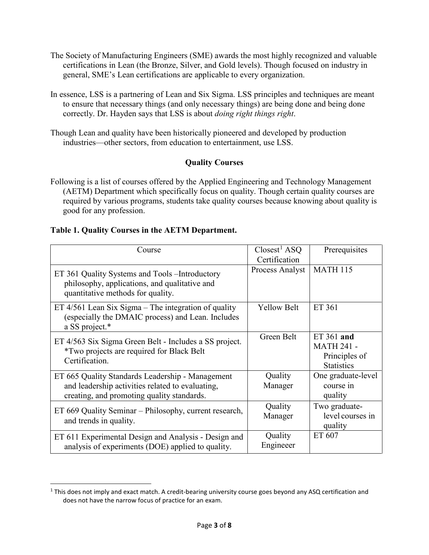- The Society of Manufacturing Engineers (SME) awards the most highly recognized and valuable certifications in Lean (the Bronze, Silver, and Gold levels). Though focused on industry in general, SME's Lean certifications are applicable to every organization.
- In essence, LSS is a partnering of Lean and Six Sigma. LSS principles and techniques are meant to ensure that necessary things (and only necessary things) are being done and being done correctly. Dr. Hayden says that LSS is about *doing right things right*.
- Though Lean and quality have been historically pioneered and developed by production industries—other sectors, from education to entertainment, use LSS.

# **Quality Courses**

Following is a list of courses offered by the Applied Engineering and Technology Management (AETM) Department which specifically focus on quality. Though certain quality courses are required by various programs, students take quality courses because knowing about quality is good for any profession.

# **Table 1. Quality Courses in the AETM Department.**

| Course                                                                                                                                             | $\text{Closes}^1$ ASQ<br>Certification | Prerequisites                                                         |
|----------------------------------------------------------------------------------------------------------------------------------------------------|----------------------------------------|-----------------------------------------------------------------------|
| ET 361 Quality Systems and Tools - Introductory<br>philosophy, applications, and qualitative and<br>quantitative methods for quality.              | Process Analyst                        | <b>MATH 115</b>                                                       |
| ET $4/561$ Lean Six Sigma – The integration of quality<br>(especially the DMAIC process) and Lean. Includes<br>a SS project.*                      | <b>Yellow Belt</b>                     | ET 361                                                                |
| ET 4/563 Six Sigma Green Belt - Includes a SS project.<br><i>*Two projects are required for Black Belt</i><br>Certification.                       | Green Belt                             | ET 361 and<br><b>MATH 241 -</b><br>Principles of<br><b>Statistics</b> |
| ET 665 Quality Standards Leadership - Management<br>and leadership activities related to evaluating,<br>creating, and promoting quality standards. | Quality<br>Manager                     | One graduate-level<br>course in<br>quality                            |
| ET 669 Quality Seminar - Philosophy, current research,<br>and trends in quality.                                                                   | Quality<br>Manager                     | Two graduate-<br>level courses in<br>quality                          |
| ET 611 Experimental Design and Analysis - Design and<br>analysis of experiments (DOE) applied to quality.                                          | Quality<br>Engineeer                   | ET 607                                                                |

<span id="page-2-0"></span> $1$  This does not imply and exact match. A credit-bearing university course goes beyond any ASQ certification and does not have the narrow focus of practice for an exam.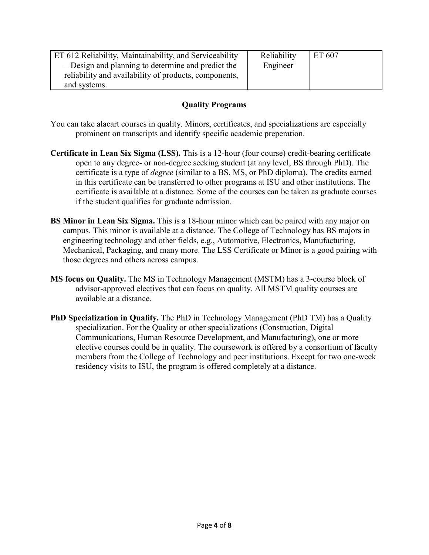| ET 612 Reliability, Maintainability, and Serviceability | Reliability | ET 607 |
|---------------------------------------------------------|-------------|--------|
| - Design and planning to determine and predict the      | Engineer    |        |
| reliability and availability of products, components,   |             |        |
| and systems.                                            |             |        |

## **Quality Programs**

You can take alacart courses in quality. Minors, certificates, and specializations are especially prominent on transcripts and identify specific academic preperation.

- **Certificate in Lean Six Sigma (LSS).** This is a 12-hour (four course) credit-bearing certificate open to any degree- or non-degree seeking student (at any level, BS through PhD). The certificate is a type of *degree* (similar to a BS, MS, or PhD diploma). The credits earned in this certificate can be transferred to other programs at ISU and other institutions. The certificate is available at a distance. Some of the courses can be taken as graduate courses if the student qualifies for graduate admission.
- **BS Minor in Lean Six Sigma.** This is a 18-hour minor which can be paired with any major on campus. This minor is available at a distance. The College of Technology has BS majors in engineering technology and other fields, e.g., Automotive, Electronics, Manufacturing, Mechanical, Packaging, and many more. The LSS Certificate or Minor is a good pairing with those degrees and others across campus.
- **MS focus on Quality.** The MS in Technology Management (MSTM) has a 3-course block of advisor-approved electives that can focus on quality. All MSTM quality courses are available at a distance.
- **PhD Specialization in Quality.** The PhD in Technology Management (PhD TM) has a Quality specialization. For the Quality or other specializations (Construction, Digital Communications, Human Resource Development, and Manufacturing), one or more elective courses could be in quality. The coursework is offered by a consortium of faculty members from the College of Technology and peer institutions. Except for two one-week residency visits to ISU, the program is offered completely at a distance.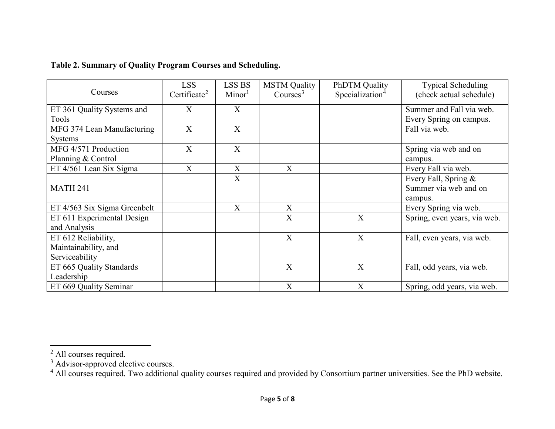| Courses                      | <b>LSS</b><br>Certificate <sup>2</sup> | <b>LSS BS</b><br>Minor <sup>1</sup> | <b>MSTM Quality</b><br>Course <sup>3</sup> | <b>PhDTM</b> Quality<br>Specialization <sup>4</sup> | <b>Typical Scheduling</b><br>(check actual schedule) |
|------------------------------|----------------------------------------|-------------------------------------|--------------------------------------------|-----------------------------------------------------|------------------------------------------------------|
| ET 361 Quality Systems and   | X                                      | X                                   |                                            |                                                     | Summer and Fall via web.                             |
| Tools                        |                                        |                                     |                                            |                                                     | Every Spring on campus.                              |
| MFG 374 Lean Manufacturing   | X                                      | X                                   |                                            |                                                     | Fall via web.                                        |
| <b>Systems</b>               |                                        |                                     |                                            |                                                     |                                                      |
| MFG 4/571 Production         | X                                      | X                                   |                                            |                                                     | Spring via web and on                                |
| Planning & Control           |                                        |                                     |                                            |                                                     | campus.                                              |
| ET 4/561 Lean Six Sigma      | X                                      | X                                   | X                                          |                                                     | Every Fall via web.                                  |
|                              |                                        | X                                   |                                            |                                                     | Every Fall, Spring &                                 |
| <b>MATH 241</b>              |                                        |                                     |                                            |                                                     | Summer via web and on                                |
|                              |                                        |                                     |                                            |                                                     | campus.                                              |
| ET 4/563 Six Sigma Greenbelt |                                        | X                                   | X                                          |                                                     | Every Spring via web.                                |
| ET 611 Experimental Design   |                                        |                                     | X                                          | X                                                   | Spring, even years, via web.                         |
| and Analysis                 |                                        |                                     |                                            |                                                     |                                                      |
| ET 612 Reliability,          |                                        |                                     | X                                          | X                                                   | Fall, even years, via web.                           |
| Maintainability, and         |                                        |                                     |                                            |                                                     |                                                      |
| Serviceability               |                                        |                                     |                                            |                                                     |                                                      |
| ET 665 Quality Standards     |                                        |                                     | X                                          | X                                                   | Fall, odd years, via web.                            |
| Leadership                   |                                        |                                     |                                            |                                                     |                                                      |
| ET 669 Quality Seminar       |                                        |                                     | X                                          | X                                                   | Spring, odd years, via web.                          |

# <span id="page-4-2"></span><span id="page-4-1"></span><span id="page-4-0"></span>**Table 2. Summary of Quality Program Courses and Scheduling.**

 $\overline{\phantom{a}}$ 

 $<sup>2</sup>$  All courses required.</sup>

 $3$  Advisor-approved elective courses.

<sup>&</sup>lt;sup>4</sup> All courses required. Two additional quality courses required and provided by Consortium partner universities. See the PhD website.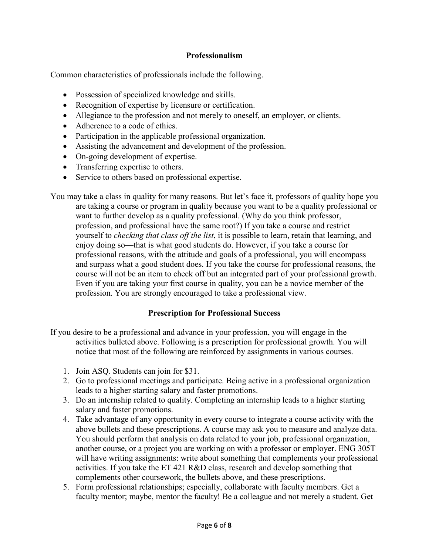#### **Professionalism**

Common characteristics of professionals include the following.

- Possession of specialized knowledge and skills.
- Recognition of expertise by licensure or certification.
- Allegiance to the profession and not merely to oneself, an employer, or clients.
- Adherence to a code of ethics.
- Participation in the applicable professional organization.
- Assisting the advancement and development of the profession.
- On-going development of expertise.
- Transferring expertise to others.
- Service to others based on professional expertise.

You may take a class in quality for many reasons. But let's face it, professors of quality hope you are taking a course or program in quality because you want to be a quality professional or want to further develop as a quality professional. (Why do you think professor, profession, and professional have the same root?) If you take a course and restrict yourself to *checking that class off the list*, it is possible to learn, retain that learning, and enjoy doing so—that is what good students do. However, if you take a course for professional reasons, with the attitude and goals of a professional, you will encompass and surpass what a good student does. If you take the course for professional reasons, the course will not be an item to check off but an integrated part of your professional growth. Even if you are taking your first course in quality, you can be a novice member of the profession. You are strongly encouraged to take a professional view.

#### **Prescription for Professional Success**

- If you desire to be a professional and advance in your profession, you will engage in the activities bulleted above. Following is a prescription for professional growth. You will notice that most of the following are reinforced by assignments in various courses.
	- 1. Join ASQ. Students can join for \$31.
	- 2. Go to professional meetings and participate. Being active in a professional organization leads to a higher starting salary and faster promotions.
	- 3. Do an internship related to quality. Completing an internship leads to a higher starting salary and faster promotions.
	- 4. Take advantage of any opportunity in every course to integrate a course activity with the above bullets and these prescriptions. A course may ask you to measure and analyze data. You should perform that analysis on data related to your job, professional organization, another course, or a project you are working on with a professor or employer. ENG 305T will have writing assignments: write about something that complements your professional activities. If you take the ET 421 R&D class, research and develop something that complements other coursework, the bullets above, and these prescriptions.
	- 5. Form professional relationships; especially, collaborate with faculty members. Get a faculty mentor; maybe, mentor the faculty! Be a colleague and not merely a student. Get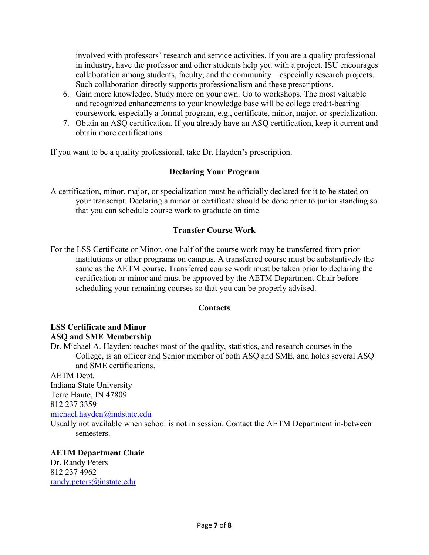involved with professors' research and service activities. If you are a quality professional in industry, have the professor and other students help you with a project. ISU encourages collaboration among students, faculty, and the community—especially research projects. Such collaboration directly supports professionalism and these prescriptions.

- 6. Gain more knowledge. Study more on your own. Go to workshops. The most valuable and recognized enhancements to your knowledge base will be college credit-bearing coursework, especially a formal program, e.g., certificate, minor, major, or specialization.
- 7. Obtain an ASQ certification. If you already have an ASQ certification, keep it current and obtain more certifications.

If you want to be a quality professional, take Dr. Hayden's prescription.

### **Declaring Your Program**

A certification, minor, major, or specialization must be officially declared for it to be stated on your transcript. Declaring a minor or certificate should be done prior to junior standing so that you can schedule course work to graduate on time.

### **Transfer Course Work**

For the LSS Certificate or Minor, one-half of the course work may be transferred from prior institutions or other programs on campus. A transferred course must be substantively the same as the AETM course. Transferred course work must be taken prior to declaring the certification or minor and must be approved by the AETM Department Chair before scheduling your remaining courses so that you can be properly advised.

### **Contacts**

# **LSS Certificate and Minor ASQ and SME Membership**

Dr. Michael A. Hayden: teaches most of the quality, statistics, and research courses in the College, is an officer and Senior member of both ASQ and SME, and holds several ASQ and SME certifications.

AETM Dept. Indiana State University Terre Haute, IN 47809 812 237 3359 [michael.hayden@indstate.edu](mailto:michael.hayden@indstate.edu)

Usually not available when school is not in session. Contact the AETM Department in-between semesters.

**AETM Department Chair** Dr. Randy Peters 812 237 4962 [randy.peters@instate.edu](mailto:randy.peters@instate.edu)